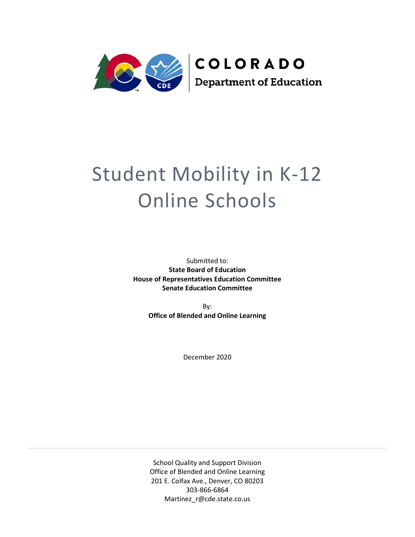

# Student Mobility in K-12 Online Schools

Submitted to: **State Board of Education House of Representatives Education Committee Senate Education Committee**

> By: **Office of Blended and Online Learning**

> > December 2020

School Quality and Support Division Office of Blended and Online Learning 201 E. Colfax Ave., Denver, CO 80203 303-866-6864 Martinez\_r@cde.state.co.us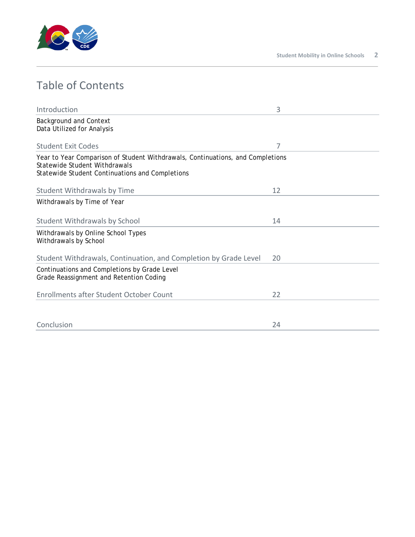

## Table of Contents

| Introduction                                                                                                                                                       | 3  |
|--------------------------------------------------------------------------------------------------------------------------------------------------------------------|----|
| <b>Background and Context</b><br>Data Utilized for Analysis                                                                                                        |    |
| Student Exit Codes                                                                                                                                                 | 7  |
| Year to Year Comparison of Student Withdrawals, Continuations, and Completions<br>Statewide Student Withdrawals<br>Statewide Student Continuations and Completions |    |
| Student Withdrawals by Time                                                                                                                                        | 12 |
| Withdrawals by Time of Year                                                                                                                                        |    |
| <b>Student Withdrawals by School</b>                                                                                                                               | 14 |
| Withdrawals by Online School Types<br>Withdrawals by School                                                                                                        |    |
| Student Withdrawals, Continuation, and Completion by Grade Level                                                                                                   | 20 |
| Continuations and Completions by Grade Level<br>Grade Reassignment and Retention Coding                                                                            |    |
| <b>Enrollments after Student October Count</b>                                                                                                                     | 22 |
|                                                                                                                                                                    |    |
| Conclusion                                                                                                                                                         | 24 |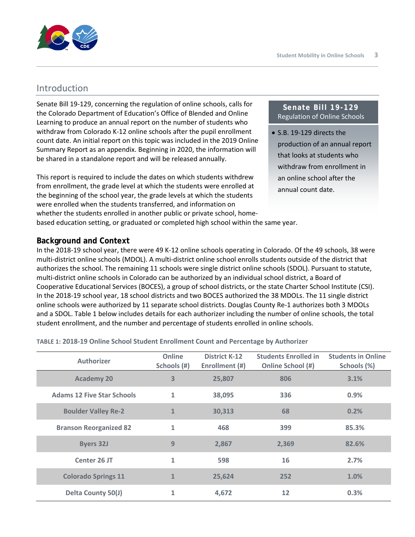

## Introduction

Senate Bill 19-129, concerning the regulation of online schools, calls for the Colorado Department of Education's Office of Blended and Online Learning to produce an annual report on the number of students who withdraw from Colorado K-12 online schools after the pupil enrollment count date. An initial report on this topic was included in the 2019 Online Summary Report as an appendix. Beginning in 2020, the information will be shared in a standalone report and will be released annually.

This report is required to include the dates on which students withdrew from enrollment, the grade level at which the students were enrolled at the beginning of the school year, the grade levels at which the students were enrolled when the students transferred, and information on whether the students enrolled in another public or private school, homebased education setting, or graduated or completed high school within the same year.

#### **Senate Bill 19-129** Regulation of Online Schools

• S.B. 19-129 directs the production of an annual report that looks at students who withdraw from enrollment in an online school after the annual count date.

**Background and Context** 

In the 2018-19 school year, there were 49 K-12 online schools operating in Colorado. Of the 49 schools, 38 were multi-district online schools (MDOL). A multi-district online school enrolls students outside of the district that authorizes the school. The remaining 11 schools were single district online schools (SDOL). Pursuant to statute, multi-district online schools in Colorado can be authorized by an individual school district, a Board of Cooperative Educational Services (BOCES), a group of school districts, or the state Charter School Institute (CSI). In the 2018-19 school year, 18 school districts and two BOCES authorized the 38 MDOLs. The 11 single district online schools were authorized by 11 separate school districts. Douglas County Re-1 authorizes both 3 MDOLs and a SDOL. Table 1 below includes details for each authorizer including the number of online schools, the total student enrollment, and the number and percentage of students enrolled in online schools.

**TABLE 1: 2018-19 Online School Student Enrollment Count and Percentage by Authorizer**

| <b>Authorizer</b>                 | Online<br>Schools (#) | <b>District K-12</b><br>Enrollment (#) | <b>Students Enrolled in</b><br>Online School (#) | <b>Students in Online</b><br>Schools (%) |
|-----------------------------------|-----------------------|----------------------------------------|--------------------------------------------------|------------------------------------------|
| <b>Academy 20</b>                 | 3                     | 25,807                                 | 806                                              | 3.1%                                     |
| <b>Adams 12 Five Star Schools</b> | $\mathbf{1}$          | 38,095                                 | 336                                              | 0.9%                                     |
| <b>Boulder Valley Re-2</b>        | $\mathbf{1}$          | 30,313                                 | 68                                               | 0.2%                                     |
| <b>Branson Reorganized 82</b>     | 1                     | 468                                    | 399                                              | 85.3%                                    |
| <b>Byers 32J</b>                  | 9                     | 2,867                                  | 2,369                                            | 82.6%                                    |
| Center 26 JT                      | $\mathbf{1}$          | 598                                    | 16                                               | 2.7%                                     |
| <b>Colorado Springs 11</b>        | $\mathbf{1}$          | 25,624                                 | 252                                              | 1.0%                                     |
| <b>Delta County 50(J)</b>         | 1                     | 4,672                                  | 12                                               | 0.3%                                     |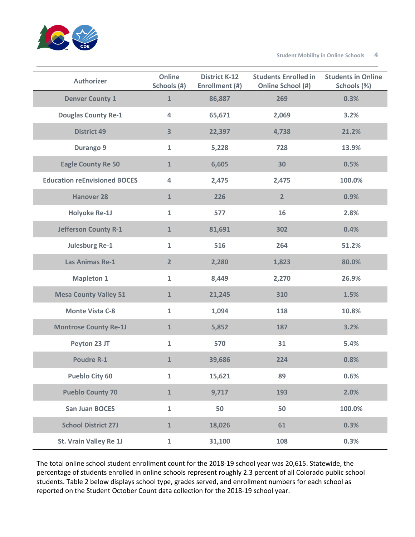

**Student Mobility in Online Schools 4**

| <b>Authorizer</b>                   | Online<br>Schools (#)   | <b>District K-12</b><br>Enrollment (#) | <b>Students Enrolled in</b><br>Online School (#) | <b>Students in Online</b><br>Schools (%) |
|-------------------------------------|-------------------------|----------------------------------------|--------------------------------------------------|------------------------------------------|
| <b>Denver County 1</b>              | $\mathbf{1}$            | 86,887                                 | 269                                              | 0.3%                                     |
| <b>Douglas County Re-1</b>          | 4                       | 65,671                                 | 2,069                                            | 3.2%                                     |
| <b>District 49</b>                  | $\overline{\mathbf{3}}$ | 22,397                                 | 4,738                                            | 21.2%                                    |
| Durango 9                           | $\mathbf{1}$            | 5,228                                  | 728                                              | 13.9%                                    |
| <b>Eagle County Re 50</b>           | $\mathbf{1}$            | 6,605                                  | 30                                               | 0.5%                                     |
| <b>Education reEnvisioned BOCES</b> | 4                       | 2,475                                  | 2,475                                            | 100.0%                                   |
| <b>Hanover 28</b>                   | $\mathbf{1}$            | 226                                    | $\overline{2}$                                   | 0.9%                                     |
| <b>Holyoke Re-1J</b>                | $\mathbf{1}$            | 577                                    | 16                                               | 2.8%                                     |
| <b>Jefferson County R-1</b>         | $\mathbf{1}$            | 81,691                                 | 302                                              | 0.4%                                     |
| <b>Julesburg Re-1</b>               | $\mathbf{1}$            | 516                                    | 264                                              | 51.2%                                    |
| Las Animas Re-1                     | $\overline{2}$          | 2,280                                  | 1,823                                            | 80.0%                                    |
| <b>Mapleton 1</b>                   | $\mathbf{1}$            | 8,449                                  | 2,270                                            | 26.9%                                    |
| <b>Mesa County Valley 51</b>        | $\mathbf{1}$            | 21,245                                 | 310                                              | 1.5%                                     |
| <b>Monte Vista C-8</b>              | $\mathbf{1}$            | 1,094                                  | 118                                              | 10.8%                                    |
| <b>Montrose County Re-1J</b>        | $\mathbf{1}$            | 5,852                                  | 187                                              | 3.2%                                     |
| Peyton 23 JT                        | $\mathbf{1}$            | 570                                    | 31                                               | 5.4%                                     |
| <b>Poudre R-1</b>                   | $\mathbf{1}$            | 39,686                                 | 224                                              | 0.8%                                     |
| <b>Pueblo City 60</b>               | $\mathbf 1$             | 15,621                                 | 89                                               | 0.6%                                     |
| <b>Pueblo County 70</b>             | $\mathbf{1}$            | 9,717                                  | 193                                              | 2.0%                                     |
| <b>San Juan BOCES</b>               | $\mathbf 1$             | 50                                     | 50                                               | 100.0%                                   |
| <b>School District 27J</b>          | $\mathbf{1}$            | 18,026                                 | 61                                               | 0.3%                                     |
| St. Vrain Valley Re 1J              | $\mathbf 1$             | 31,100                                 | 108                                              | 0.3%                                     |

The total online school student enrollment count for the 2018-19 school year was 20,615. Statewide, the percentage of students enrolled in online schools represent roughly 2.3 percent of all Colorado public school students. Table 2 below displays school type, grades served, and enrollment numbers for each school as reported on the Student October Count data collection for the 2018-19 school year.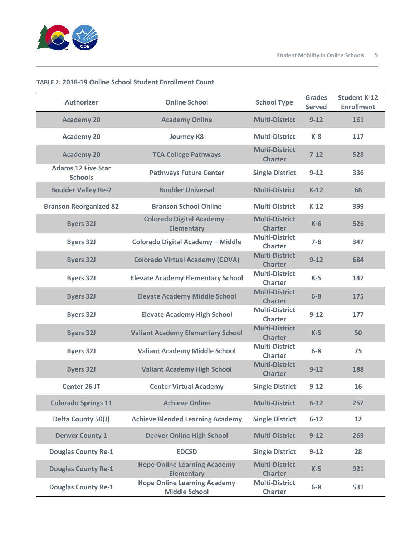

| <b>Authorizer</b>                           | <b>Online School</b>                                        | <b>School Type</b>                      | <b>Grades</b><br><b>Served</b> | <b>Student K-12</b><br><b>Enrollment</b> |
|---------------------------------------------|-------------------------------------------------------------|-----------------------------------------|--------------------------------|------------------------------------------|
| <b>Academy 20</b>                           | <b>Academy Online</b>                                       | <b>Multi-District</b>                   | $9 - 12$                       | 161                                      |
| <b>Academy 20</b>                           | <b>Journey K8</b>                                           | <b>Multi-District</b>                   | $K-8$                          | 117                                      |
| <b>Academy 20</b>                           | <b>TCA College Pathways</b>                                 | <b>Multi-District</b><br><b>Charter</b> | $7 - 12$                       | 528                                      |
| <b>Adams 12 Five Star</b><br><b>Schools</b> | <b>Pathways Future Center</b>                               | <b>Single District</b>                  | $9 - 12$                       | 336                                      |
| <b>Boulder Valley Re-2</b>                  | <b>Boulder Universal</b>                                    | <b>Multi-District</b>                   | $K-12$                         | 68                                       |
| <b>Branson Reorganized 82</b>               | <b>Branson School Online</b>                                | <b>Multi-District</b>                   | $K-12$                         | 399                                      |
| <b>Byers 32J</b>                            | Colorado Digital Academy-<br><b>Elementary</b>              | <b>Multi-District</b><br><b>Charter</b> | $K-6$                          | 526                                      |
| <b>Byers 32J</b>                            | Colorado Digital Academy - Middle                           | <b>Multi-District</b><br><b>Charter</b> | $7 - 8$                        | 347                                      |
| <b>Byers 32J</b>                            | <b>Colorado Virtual Academy (COVA)</b>                      | <b>Multi-District</b><br><b>Charter</b> | $9 - 12$                       | 684                                      |
| <b>Byers 32J</b>                            | <b>Elevate Academy Elementary School</b>                    | <b>Multi-District</b><br><b>Charter</b> | $K-5$                          | 147                                      |
| <b>Byers 32J</b>                            | <b>Elevate Academy Middle School</b>                        | <b>Multi-District</b><br><b>Charter</b> | $6 - 8$                        | 175                                      |
| <b>Byers 32J</b>                            | <b>Elevate Academy High School</b>                          | <b>Multi-District</b><br><b>Charter</b> | $9 - 12$                       | 177                                      |
| <b>Byers 32J</b>                            | <b>Valiant Academy Elementary School</b>                    | <b>Multi-District</b><br><b>Charter</b> | $K-5$                          | 50                                       |
| <b>Byers 32J</b>                            | <b>Valiant Academy Middle School</b>                        | <b>Multi-District</b><br><b>Charter</b> | $6 - 8$                        | 75                                       |
| <b>Byers 32J</b>                            | <b>Valiant Academy High School</b>                          | <b>Multi-District</b><br><b>Charter</b> | $9 - 12$                       | 188                                      |
| <b>Center 26 JT</b>                         | <b>Center Virtual Academy</b>                               | <b>Single District</b>                  | $9 - 12$                       | 16                                       |
| <b>Colorado Springs 11</b>                  | <b>Achieve Online</b>                                       | <b>Multi-District</b>                   | $6 - 12$                       | 252                                      |
| Delta County 50(J)                          | <b>Achieve Blended Learning Academy</b>                     | <b>Single District</b>                  | $6 - 12$                       | 12                                       |
| <b>Denver County 1</b>                      | <b>Denver Online High School</b>                            | <b>Multi-District</b>                   | $9 - 12$                       | 269                                      |
| <b>Douglas County Re-1</b>                  | <b>EDCSD</b>                                                | <b>Single District</b>                  | $9 - 12$                       | 28                                       |
| <b>Douglas County Re-1</b>                  | <b>Hope Online Learning Academy</b><br><b>Elementary</b>    | <b>Multi-District</b><br><b>Charter</b> | $K-5$                          | 921                                      |
| <b>Douglas County Re-1</b>                  | <b>Hope Online Learning Academy</b><br><b>Middle School</b> | <b>Multi-District</b><br><b>Charter</b> | $6-8$                          | 531                                      |

## **TABLE 2: 2018-19 Online School Student Enrollment Count**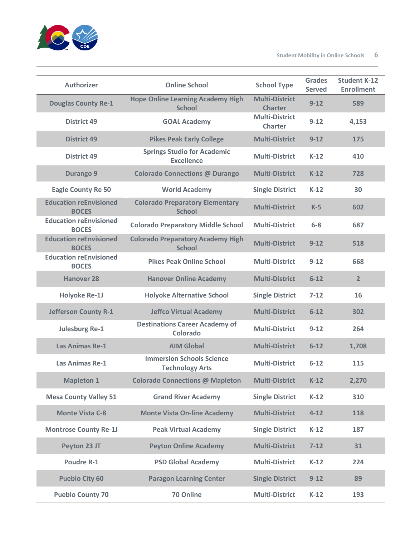

| <b>Authorizer</b>                             | <b>Online School</b>                                       | <b>School Type</b>                      | <b>Grades</b><br><b>Served</b> | <b>Student K-12</b><br><b>Enrollment</b> |
|-----------------------------------------------|------------------------------------------------------------|-----------------------------------------|--------------------------------|------------------------------------------|
| <b>Douglas County Re-1</b>                    | <b>Hope Online Learning Academy High</b><br><b>School</b>  | <b>Multi-District</b><br><b>Charter</b> | $9 - 12$                       | 589                                      |
| <b>District 49</b>                            | <b>GOAL Academy</b>                                        | <b>Multi-District</b><br><b>Charter</b> | $9 - 12$                       | 4,153                                    |
| <b>District 49</b>                            | <b>Pikes Peak Early College</b>                            | <b>Multi-District</b>                   | $9 - 12$                       | 175                                      |
| <b>District 49</b>                            | <b>Springs Studio for Academic</b><br><b>Excellence</b>    | <b>Multi-District</b>                   | $K-12$                         | 410                                      |
| <b>Durango 9</b>                              | <b>Colorado Connections @ Durango</b>                      | <b>Multi-District</b>                   | $K-12$                         | 728                                      |
| <b>Eagle County Re 50</b>                     | <b>World Academy</b>                                       | <b>Single District</b>                  | $K-12$                         | 30                                       |
| <b>Education reEnvisioned</b><br><b>BOCES</b> | <b>Colorado Preparatory Elementary</b><br><b>School</b>    | <b>Multi-District</b>                   | $K-5$                          | 602                                      |
| <b>Education reEnvisioned</b><br><b>BOCES</b> | <b>Colorado Preparatory Middle School</b>                  | <b>Multi-District</b>                   | $6-8$                          | 687                                      |
| <b>Education reEnvisioned</b><br><b>BOCES</b> | <b>Colorado Preparatory Academy High</b><br><b>School</b>  | <b>Multi-District</b>                   | $9 - 12$                       | 518                                      |
| <b>Education reEnvisioned</b><br><b>BOCES</b> | <b>Pikes Peak Online School</b>                            | <b>Multi-District</b>                   | $9 - 12$                       | 668                                      |
| <b>Hanover 28</b>                             | <b>Hanover Online Academy</b>                              | <b>Multi-District</b>                   | $6 - 12$                       | $\overline{2}$                           |
| <b>Holyoke Re-1J</b>                          | <b>Holyoke Alternative School</b>                          | <b>Single District</b>                  | $7 - 12$                       | 16                                       |
| <b>Jefferson County R-1</b>                   | <b>Jeffco Virtual Academy</b>                              | <b>Multi-District</b>                   | $6 - 12$                       | 302                                      |
| <b>Julesburg Re-1</b>                         | <b>Destinations Career Academy of</b><br>Colorado          | <b>Multi-District</b>                   | $9 - 12$                       | 264                                      |
| <b>Las Animas Re-1</b>                        | <b>AIM Global</b>                                          | <b>Multi-District</b>                   | $6 - 12$                       | 1,708                                    |
| <b>Las Animas Re-1</b>                        | <b>Immersion Schools Science</b><br><b>Technology Arts</b> | <b>Multi-District</b>                   | $6 - 12$                       | 115                                      |
| <b>Mapleton 1</b>                             | <b>Colorado Connections @ Mapleton</b>                     | <b>Multi-District</b>                   | $K-12$                         | 2,270                                    |
| <b>Mesa County Valley 51</b>                  | <b>Grand River Academy</b>                                 | <b>Single District</b>                  | $K-12$                         | 310                                      |
| <b>Monte Vista C-8</b>                        | <b>Monte Vista On-line Academy</b>                         | <b>Multi-District</b>                   | $4 - 12$                       | 118                                      |
| <b>Montrose County Re-1J</b>                  | <b>Peak Virtual Academy</b>                                | <b>Single District</b>                  | $K-12$                         | 187                                      |
| Peyton 23 JT                                  | <b>Peyton Online Academy</b>                               | <b>Multi-District</b>                   | $7 - 12$                       | 31                                       |
| <b>Poudre R-1</b>                             | <b>PSD Global Academy</b>                                  | <b>Multi-District</b>                   | $K-12$                         | 224                                      |
| <b>Pueblo City 60</b>                         | <b>Paragon Learning Center</b>                             | <b>Single District</b>                  | $9 - 12$                       | 89                                       |
| <b>Pueblo County 70</b>                       | 70 Online                                                  | <b>Multi-District</b>                   | $K-12$                         | 193                                      |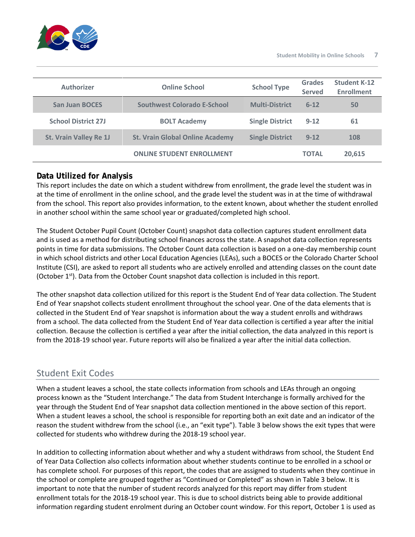

| Authorizer                    | <b>Online School</b>                   | <b>School Type</b>     | <b>Grades</b><br><b>Served</b> | <b>Student K-12</b><br><b>Enrollment</b> |
|-------------------------------|----------------------------------------|------------------------|--------------------------------|------------------------------------------|
| <b>San Juan BOCES</b>         | Southwest Colorado E-School            | <b>Multi-District</b>  | $6 - 12$                       | 50                                       |
| <b>School District 27J</b>    | <b>BOLT Academy</b>                    | <b>Single District</b> | $9 - 12$                       | 61                                       |
| <b>St. Vrain Valley Re 1J</b> | <b>St. Vrain Global Online Academy</b> | <b>Single District</b> | $9 - 12$                       | 108                                      |
|                               | <b>ONLINE STUDENT ENROLLMENT</b>       |                        | <b>TOTAL</b>                   | 20.615                                   |

## **Data Utilized for Analysis**

This report includes the date on which a student withdrew from enrollment, the grade level the student was in at the time of enrollment in the online school, and the grade level the student was in at the time of withdrawal from the school. This report also provides information, to the extent known, about whether the student enrolled in another school within the same school year or graduated/completed high school.

The Student October Pupil Count (October Count) snapshot data collection captures student enrollment data and is used as a method for distributing school finances across the state. A snapshot data collection represents points in time for data submissions. The October Count data collection is based on a one-day membership count in which school districts and other Local Education Agencies (LEAs), such a BOCES or the Colorado Charter School Institute (CSI), are asked to report all students who are actively enrolled and attending classes on the count date (October  $1^{st}$ ). Data from the October Count snapshot data collection is included in this report.

The other snapshot data collection utilized for this report is the Student End of Year data collection. The Student End of Year snapshot collects student enrollment throughout the school year. One of the data elements that is collected in the Student End of Year snapshot is information about the way a student enrolls and withdraws from a school. The data collected from the Student End of Year data collection is certified a year after the initial collection. Because the collection is certified a year after the initial collection, the data analyzed in this report is from the 2018-19 school year. Future reports will also be finalized a year after the initial data collection.

## Student Exit Codes

When a student leaves a school, the state collects information from schools and LEAs through an ongoing process known as the "Student Interchange." The data from Student Interchange is formally archived for the year through the Student End of Year snapshot data collection mentioned in the above section of this report. When a student leaves a school, the school is responsible for reporting both an exit date and an indicator of the reason the student withdrew from the school (i.e., an "exit type"). Table 3 below shows the exit types that were collected for students who withdrew during the 2018-19 school year.

In addition to collecting information about whether and why a student withdraws from school, the Student End of Year Data Collection also collects information about whether students continue to be enrolled in a school or has complete school. For purposes of this report, the codes that are assigned to students when they continue in the school or complete are grouped together as "Continued or Completed" as shown in Table 3 below. It is important to note that the number of student records analyzed for this report may differ from student enrollment totals for the 2018-19 school year. This is due to school districts being able to provide additional information regarding student enrolment during an October count window. For this report, October 1 is used as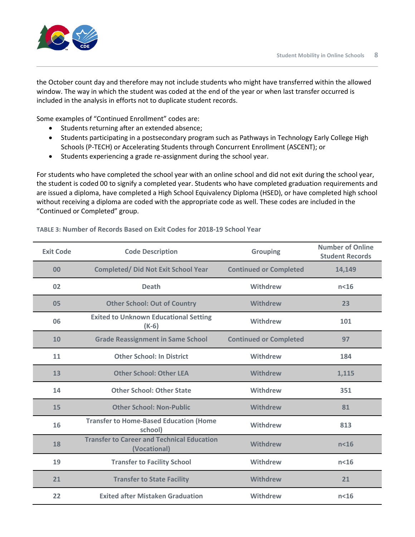the October count day and therefore may not include students who might have transferred within the allowed window. The way in which the student was coded at the end of the year or when last transfer occurred is included in the analysis in efforts not to duplicate student records.

Some examples of "Continued Enrollment" codes are:

- Students returning after an extended absence;
- Students participating in a postsecondary program such as Pathways in Technology Early College High Schools (P-TECH) or Accelerating Students through Concurrent Enrollment (ASCENT); or
- Students experiencing a grade re-assignment during the school year.

For students who have completed the school year with an online school and did not exit during the school year, the student is coded 00 to signify a completed year. Students who have completed graduation requirements and are issued a diploma, have completed a High School Equivalency Diploma (HSED), or have completed high school without receiving a diploma are coded with the appropriate code as well. These codes are included in the "Continued or Completed" group.

| <b>Exit Code</b> | <b>Code Description</b>                                           | <b>Grouping</b>               | <b>Number of Online</b><br><b>Student Records</b> |
|------------------|-------------------------------------------------------------------|-------------------------------|---------------------------------------------------|
| 00               | <b>Completed/ Did Not Exit School Year</b>                        | <b>Continued or Completed</b> | 14,149                                            |
| 02               | <b>Death</b>                                                      | Withdrew                      | n <sub>16</sub>                                   |
| 05               | <b>Other School: Out of Country</b>                               | <b>Withdrew</b>               | 23                                                |
| 06               | <b>Exited to Unknown Educational Setting</b><br>$(K-6)$           | Withdrew                      | 101                                               |
| 10               | <b>Grade Reassignment in Same School</b>                          | <b>Continued or Completed</b> | 97                                                |
| 11               | <b>Other School: In District</b>                                  | Withdrew                      | 184                                               |
| 13               | <b>Other School: Other LEA</b>                                    | <b>Withdrew</b>               | 1,115                                             |
| 14               | <b>Other School: Other State</b>                                  | Withdrew                      | 351                                               |
| 15               | <b>Other School: Non-Public</b>                                   | <b>Withdrew</b>               | 81                                                |
| 16               | <b>Transfer to Home-Based Education (Home</b><br>school)          | Withdrew                      | 813                                               |
| 18               | <b>Transfer to Career and Technical Education</b><br>(Vocational) | <b>Withdrew</b>               | n <sub>16</sub>                                   |
| 19               | <b>Transfer to Facility School</b>                                | <b>Withdrew</b>               | n <sub>16</sub>                                   |
| 21               | <b>Transfer to State Facility</b>                                 | <b>Withdrew</b>               | 21                                                |
| 22               | <b>Exited after Mistaken Graduation</b>                           | Withdrew                      | $n<$ 16                                           |

#### **TABLE 3: Number of Records Based on Exit Codes for 2018-19 School Year**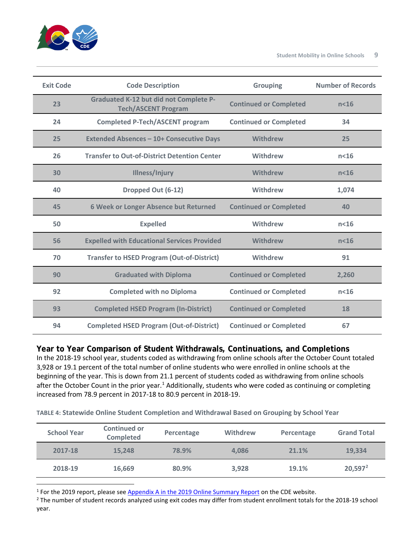

| <b>Exit Code</b> | <b>Code Description</b>                                                     | <b>Grouping</b>               | <b>Number of Records</b> |
|------------------|-----------------------------------------------------------------------------|-------------------------------|--------------------------|
| 23               | <b>Graduated K-12 but did not Complete P-</b><br><b>Tech/ASCENT Program</b> | <b>Continued or Completed</b> | $n<$ 16                  |
| 24               | <b>Completed P-Tech/ASCENT program</b>                                      | <b>Continued or Completed</b> | 34                       |
| 25               | <b>Extended Absences - 10+ Consecutive Days</b>                             | Withdrew                      | 25                       |
| 26               | <b>Transfer to Out-of-District Detention Center</b>                         | Withdrew                      | n <sub>16</sub>          |
| 30               | Illness/Injury                                                              | <b>Withdrew</b>               | n <sub>16</sub>          |
| 40               | Dropped Out (6-12)                                                          | Withdrew                      | 1,074                    |
| 45               | 6 Week or Longer Absence but Returned                                       | <b>Continued or Completed</b> | 40                       |
| 50               | <b>Expelled</b>                                                             | Withdrew                      | n <sub>16</sub>          |
| 56               | <b>Expelled with Educational Services Provided</b>                          | Withdrew                      | n <sub>16</sub>          |
| 70               | <b>Transfer to HSED Program (Out-of-District)</b>                           | Withdrew                      | 91                       |
| 90               | <b>Graduated with Diploma</b>                                               | <b>Continued or Completed</b> | 2,260                    |
| 92               | <b>Completed with no Diploma</b>                                            | <b>Continued or Completed</b> | n <sub>16</sub>          |
| 93               | <b>Completed HSED Program (In-District)</b>                                 | <b>Continued or Completed</b> | 18                       |
| 94               | <b>Completed HSED Program (Out-of-District)</b>                             | <b>Continued or Completed</b> | 67                       |

**Year to Year Comparison of Student Withdrawals, Continuations, and Completions** In the 2018-19 school year, students coded as withdrawing from online schools after the October Count totaled 3,928 or 19.1 percent of the total number of online students who were enrolled in online schools at the beginning of the year. This is down from 21.1 percent of students coded as withdrawing from online schools after the October Count in the prior year.<sup>[1](#page-8-0)</sup> Additionally, students who were coded as continuing or completing

**TABLE 4: Statewide Online Student Completion and Withdrawal Based on Grouping by School Year**

increased from 78.9 percent in 2017-18 to 80.9 percent in 2018-19.

| <b>School Year</b> | <b>Continued or</b><br><b>Completed</b> | Percentage | <b>Withdrew</b> | Percentage | <b>Grand Total</b> |
|--------------------|-----------------------------------------|------------|-----------------|------------|--------------------|
| 2017-18            | 15.248                                  | 78.9%      | 4.086           | 21.1%      | 19,334             |
| 2018-19            | 16,669                                  | 80.9%      | 3,928           | 19.1%      | $20,597^2$         |

<span id="page-8-1"></span><span id="page-8-0"></span><sup>1</sup> For the 2019 report, please see Appendix A in the 2019 Online Summary Report on the CDE website.<br><sup>2</sup> The number of student records analyzed using exit codes may differ from student enrollment totals for the 2018-19 sc year.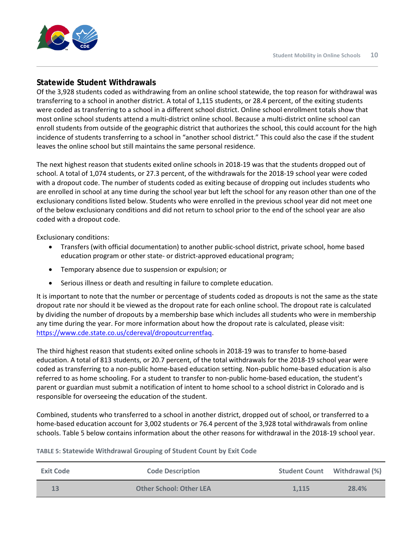

## **Statewide Student Withdrawals**

Of the 3,928 students coded as withdrawing from an online school statewide, the top reason for withdrawal was transferring to a school in another district. A total of 1,115 students, or 28.4 percent, of the exiting students were coded as transferring to a school in a different school district. Online school enrollment totals show that most online school students attend a multi-district online school. Because a multi-district online school can enroll students from outside of the geographic district that authorizes the school, this could account for the high incidence of students transferring to a school in "another school district." This could also the case if the student leaves the online school but still maintains the same personal residence.

The next highest reason that students exited online schools in 2018-19 was that the students dropped out of school. A total of 1,074 students, or 27.3 percent, of the withdrawals for the 2018-19 school year were coded with a dropout code. The number of students coded as exiting because of dropping out includes students who are enrolled in school at any time during the school year but left the school for any reason other than one of the exclusionary conditions listed below. Students who were enrolled in the previous school year did not meet one of the below exclusionary conditions and did not return to school prior to the end of the school year are also coded with a dropout code.

Exclusionary conditions:

- Transfers (with official documentation) to another public-school district, private school, home based education program or other state- or district-approved educational program;
- Temporary absence due to suspension or expulsion; or
- Serious illness or death and resulting in failure to complete education.

It is important to note that the number or percentage of students coded as dropouts is not the same as the state dropout rate nor should it be viewed as the dropout rate for each online school. The dropout rate is calculated by dividing the number of dropouts by a membership base which includes all students who were in membership any time during the year. For more information about how the dropout rate is calculated, please visit: [https://www.cde.state.co.us/cdereval/dropoutcurrentfaq.](https://www.cde.state.co.us/cdereval/dropoutcurrentfaq)

The third highest reason that students exited online schools in 2018-19 was to transfer to home-based education. A total of 813 students, or 20.7 percent, of the total withdrawals for the 2018-19 school year were coded as transferring to a non-public home-based education setting. Non-public home-based education is also referred to as home schooling. For a student to transfer to non-public home-based education, the student's parent or guardian must submit a notification of intent to home school to a school district in Colorado and is responsible for overseeing the education of the student.

Combined, students who transferred to a school in another district, dropped out of school, or transferred to a home-based education account for 3,002 students or 76.4 percent of the 3,928 total withdrawals from online schools. Table 5 below contains information about the other reasons for withdrawal in the 2018-19 school year.

| <b>Exit Code</b> | <b>Code Description</b>        |       | <b>Student Count</b> Withdrawal (%) |
|------------------|--------------------------------|-------|-------------------------------------|
|                  | <b>Other School: Other LEA</b> | 1.115 | 28.4%                               |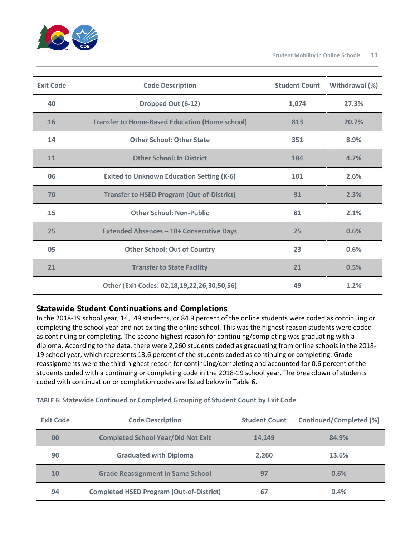

| <b>Exit Code</b> | <b>Code Description</b>                               | <b>Student Count</b> | Withdrawal (%) |
|------------------|-------------------------------------------------------|----------------------|----------------|
| 40               | Dropped Out (6-12)                                    | 1,074                | 27.3%          |
| <b>16</b>        | <b>Transfer to Home-Based Education (Home school)</b> | 813                  | 20.7%          |
| 14               | <b>Other School: Other State</b>                      | 351                  | 8.9%           |
| 11               | <b>Other School: In District</b>                      | 184                  | 4.7%           |
| 06               | <b>Exited to Unknown Education Setting (K-6)</b>      | 101                  | 2.6%           |
| 70               | <b>Transfer to HSED Program (Out-of-District)</b>     | 91                   | 2.3%           |
| 15               | <b>Other School: Non-Public</b>                       | 81                   | 2.1%           |
| 25               | <b>Extended Absences - 10+ Consecutive Days</b>       | 25                   | 0.6%           |
| 05               | <b>Other School: Out of Country</b>                   | 23                   | 0.6%           |
| 21               | <b>Transfer to State Facility</b>                     | 21                   | 0.5%           |
|                  | Other (Exit Codes: 02,18,19,22,26,30,50,56)           | 49                   | 1.2%           |

## **Statewide Student Continuations and Completions**

In the 2018-19 school year, 14,149 students, or 84.9 percent of the online students were coded as continuing or completing the school year and not exiting the online school. This was the highest reason students were coded as continuing or completing. The second highest reason for continuing/completing was graduating with a diploma. According to the data, there were 2,260 students coded as graduating from online schools in the 2018- 19 school year, which represents 13.6 percent of the students coded as continuing or completing. Grade reassignments were the third highest reason for continuing/completing and accounted for 0.6 percent of the students coded with a continuing or completing code in the 2018-19 school year. The breakdown of students coded with continuation or completion codes are listed below in Table 6.

| <b>Exit Code</b> | <b>Code Description</b>                         | <b>Student Count</b> | <b>Continued/Completed (%)</b> |
|------------------|-------------------------------------------------|----------------------|--------------------------------|
| 00               | <b>Completed School Year/Did Not Exit</b>       | 14.149               | 84.9%                          |
| 90               | <b>Graduated with Diploma</b>                   | 2,260                | 13.6%                          |
| 10               | <b>Grade Reassignment in Same School</b>        | 97                   | 0.6%                           |
| 94               | <b>Completed HSED Program (Out-of-District)</b> | 67                   | 0.4%                           |

**TABLE 6: Statewide Continued or Completed Grouping of Student Count by Exit Code**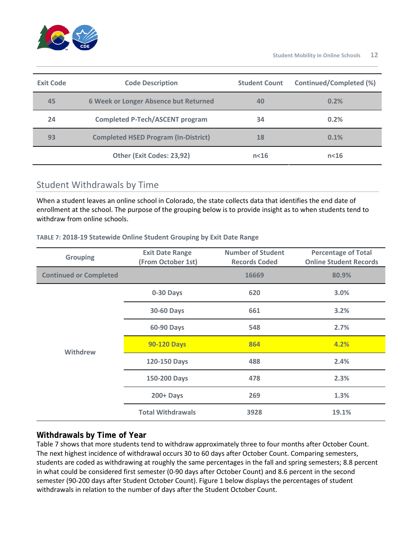

| <b>Exit Code</b> | <b>Code Description</b>                     | <b>Student Count</b> | <b>Continued/Completed (%)</b> |
|------------------|---------------------------------------------|----------------------|--------------------------------|
| 45               | 6 Week or Longer Absence but Returned       | 40                   | 0.2%                           |
| 24               | <b>Completed P-Tech/ASCENT program</b>      | 34                   | 0.2%                           |
| 93               | <b>Completed HSED Program (In-District)</b> | 18                   | 0.1%                           |
|                  | Other (Exit Codes: 23,92)                   | n <sub>16</sub>      | n <sub>16</sub>                |

## Student Withdrawals by Time

When a student leaves an online school in Colorado, the state collects data that identifies the end date of enrollment at the school. The purpose of the grouping below is to provide insight as to when students tend to withdraw from online schools.

#### **TABLE 7: 2018-19 Statewide Online Student Grouping by Exit Date Range**

| <b>Grouping</b>               | <b>Exit Date Range</b><br>(From October 1st) | <b>Number of Student</b><br><b>Records Coded</b> | <b>Percentage of Total</b><br><b>Online Student Records</b> |  |
|-------------------------------|----------------------------------------------|--------------------------------------------------|-------------------------------------------------------------|--|
| <b>Continued or Completed</b> |                                              | 16669                                            | 80.9%                                                       |  |
|                               | 0-30 Days                                    | 620                                              | 3.0%                                                        |  |
|                               | <b>30-60 Days</b>                            | 661                                              | 3.2%                                                        |  |
|                               | 60-90 Days                                   | 548                                              | 2.7%                                                        |  |
| <b>Withdrew</b>               | <b>90-120 Days</b>                           | 864                                              | 4.2%                                                        |  |
|                               | 120-150 Days                                 | 488                                              | 2.4%                                                        |  |
|                               | 150-200 Days                                 | 478                                              | 2.3%                                                        |  |
|                               | $200 +$ Days                                 | 269                                              | 1.3%                                                        |  |
|                               | <b>Total Withdrawals</b>                     | 3928                                             | 19.1%                                                       |  |

## **Withdrawals by Time of Year**

Table 7 shows that more students tend to withdraw approximately three to four months after October Count. The next highest incidence of withdrawal occurs 30 to 60 days after October Count. Comparing semesters, students are coded as withdrawing at roughly the same percentages in the fall and spring semesters; 8.8 percent in what could be considered first semester (0-90 days after October Count) and 8.6 percent in the second semester (90-200 days after Student October Count). Figure 1 below displays the percentages of student withdrawals in relation to the number of days after the Student October Count.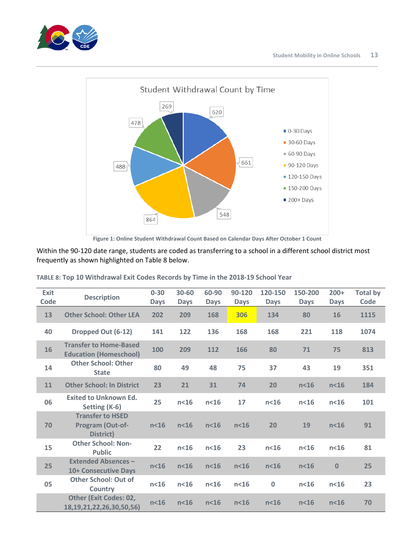



**Figure 1: Online Student Withdrawal Count Based on Calendar Days After October 1 Count**

Within the 90-120 date range, students are coded as transferring to a school in a different school district most frequently as shown highlighted on Table 8 below.

| <b>Exit</b><br>Code | <b>Description</b>                                               | $0 - 30$<br><b>Days</b> | 30-60<br><b>Days</b> | 60-90<br><b>Days</b> | 90-120<br><b>Days</b> | 120-150<br><b>Days</b> | 150-200<br><b>Days</b> | $200+$<br><b>Days</b> | <b>Total by</b><br>Code |
|---------------------|------------------------------------------------------------------|-------------------------|----------------------|----------------------|-----------------------|------------------------|------------------------|-----------------------|-------------------------|
| 13                  | <b>Other School: Other LEA</b>                                   | 202                     | 209                  | 168                  | 306                   | 134                    | 80                     | 16                    | 1115                    |
| 40                  | Dropped Out (6-12)                                               | 141                     | 122                  | 136                  | 168                   | 168                    | 221                    | 118                   | 1074                    |
| 16                  | <b>Transfer to Home-Based</b><br><b>Education (Homeschool)</b>   | 100                     | 209                  | 112                  | 166                   | 80                     | 71                     | 75                    | 813                     |
| 14                  | <b>Other School: Other</b><br><b>State</b>                       | 80                      | 49                   | 48                   | 75                    | 37                     | 43                     | 19                    | 351                     |
| 11                  | <b>Other School: In District</b>                                 | 23                      | 21                   | 31                   | 74                    | 20                     | n <sub>16</sub>        | n <sub>16</sub>       | 184                     |
| 06                  | <b>Exited to Unknown Ed.</b><br>Setting (K-6)                    | 25                      | n <sub>16</sub>      | n <sub>16</sub>      | 17                    | n <sub>16</sub>        | n <sub>16</sub>        | n <sub>16</sub>       | 101                     |
| 70                  | <b>Transfer to HSED</b><br>Program (Out-of-<br>District)         | n <sub>16</sub>         | n <sub>16</sub>      | n <sub>16</sub>      | n <sub>16</sub>       | 20                     | 19                     | n <sub>16</sub>       | 91                      |
| 15                  | <b>Other School: Non-</b><br><b>Public</b>                       | 22                      | n <sub>16</sub>      | n <sub>16</sub>      | 23                    | n <sub>16</sub>        | n <sub>16</sub>        | n <sub>16</sub>       | 81                      |
| 25                  | <b>Extended Absences -</b><br><b>10+ Consecutive Days</b>        | n <sub>16</sub>         | n <sub>16</sub>      | n <sub>16</sub>      | n <sub>16</sub>       | $n<$ 16                | n <sub>16</sub>        | $\bf{0}$              | 25                      |
| 05                  | <b>Other School: Out of</b><br><b>Country</b>                    | n <sub>16</sub>         | n <sub>16</sub>      | n <sub>16</sub>      | n <sub>16</sub>       | $\bf{0}$               | n <sub>16</sub>        | n <sub>16</sub>       | 23                      |
|                     | <b>Other (Exit Codes: 02,</b><br>18, 19, 21, 22, 26, 30, 50, 56) | n <sub>16</sub>         | n <sub>16</sub>      | n <sub>16</sub>      | n <sub>16</sub>       | $n<$ 16                | n <sub>16</sub>        | n <sub>16</sub>       | 70                      |

| TABLE 8: Top 10 Withdrawal Exit Codes Records by Time in the 2018-19 School Year |  |  |  |
|----------------------------------------------------------------------------------|--|--|--|
|----------------------------------------------------------------------------------|--|--|--|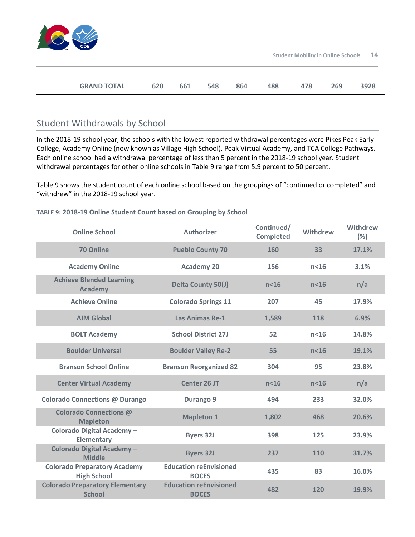

| <b>GRAND TOTAL</b> | 620 | 661 | 548 | 864 | ŀΟŌ | 478 | 269 | oשכנ |
|--------------------|-----|-----|-----|-----|-----|-----|-----|------|

## Student Withdrawals by School

In the 2018-19 school year, the schools with the lowest reported withdrawal percentages were Pikes Peak Early College, Academy Online (now known as Village High School), Peak Virtual Academy, and TCA College Pathways. Each online school had a withdrawal percentage of less than 5 percent in the 2018-19 school year. Student withdrawal percentages for other online schools in Table 9 range from 5.9 percent to 50 percent.

Table 9 shows the student count of each online school based on the groupings of "continued or completed" and "withdrew" in the 2018-19 school year.

| <b>Online School</b>                                      | <b>Authorizer</b>                             | Continued/<br><b>Completed</b> | Withdrew        | Withdrew<br>(%) |
|-----------------------------------------------------------|-----------------------------------------------|--------------------------------|-----------------|-----------------|
| 70 Online                                                 | <b>Pueblo County 70</b>                       | 160                            | 33              | 17.1%           |
| <b>Academy Online</b>                                     | <b>Academy 20</b>                             | 156                            | $n<$ 16         | 3.1%            |
| <b>Achieve Blended Learning</b><br><b>Academy</b>         | <b>Delta County 50(J)</b>                     | n <sub>16</sub>                | n <sub>16</sub> | n/a             |
| <b>Achieve Online</b>                                     | <b>Colorado Springs 11</b>                    | 207                            | 45              | 17.9%           |
| <b>AIM Global</b>                                         | <b>Las Animas Re-1</b>                        | 1,589                          | 118             | 6.9%            |
| <b>BOLT Academy</b>                                       | <b>School District 27J</b>                    | 52                             | $n<$ 16         | 14.8%           |
| <b>Boulder Universal</b>                                  | <b>Boulder Valley Re-2</b>                    | 55                             | n <sub>16</sub> | 19.1%           |
| <b>Branson School Online</b>                              | <b>Branson Reorganized 82</b>                 | 304                            | 95              | 23.8%           |
| <b>Center Virtual Academy</b>                             | <b>Center 26 JT</b>                           | n <sub>16</sub>                | n <sub>16</sub> | n/a             |
| <b>Colorado Connections @ Durango</b>                     | Durango 9                                     | 494                            | 233             | 32.0%           |
| Colorado Connections @<br><b>Mapleton</b>                 | <b>Mapleton 1</b>                             | 1,802                          | 468             | 20.6%           |
| Colorado Digital Academy-<br><b>Elementary</b>            | <b>Byers 32J</b>                              | 398                            | 125             | 23.9%           |
| <b>Colorado Digital Academy-</b><br><b>Middle</b>         | <b>Byers 32J</b>                              | 237                            | 110             | 31.7%           |
| <b>Colorado Preparatory Academy</b><br><b>High School</b> | <b>Education reEnvisioned</b><br><b>BOCES</b> | 435                            | 83              | 16.0%           |
| <b>Colorado Preparatory Elementary</b><br><b>School</b>   | <b>Education reEnvisioned</b><br><b>BOCES</b> | 482                            | 120             | 19.9%           |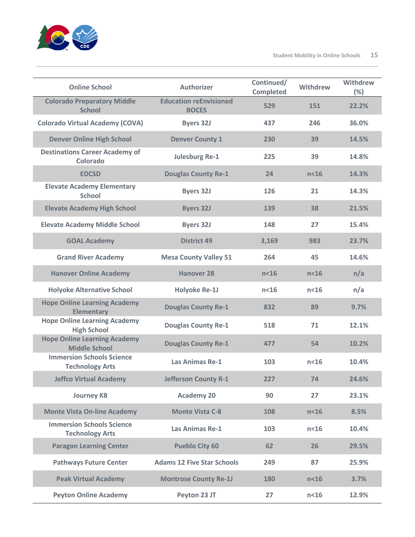

| <b>Online School</b>                                        | <b>Authorizer</b>                             | Continued/<br><b>Completed</b> | Withdrew        | Withdrew<br>(%) |
|-------------------------------------------------------------|-----------------------------------------------|--------------------------------|-----------------|-----------------|
| <b>Colorado Preparatory Middle</b><br><b>School</b>         | <b>Education reEnvisioned</b><br><b>BOCES</b> | 529                            | 151             | 22.2%           |
| <b>Colorado Virtual Academy (COVA)</b>                      | <b>Byers 32J</b>                              | 437                            | 246             | 36.0%           |
| <b>Denver Online High School</b>                            | <b>Denver County 1</b>                        | 230                            | 39              | 14.5%           |
| <b>Destinations Career Academy of</b><br>Colorado           | <b>Julesburg Re-1</b>                         | 225                            | 39              | 14.8%           |
| <b>EDCSD</b>                                                | <b>Douglas County Re-1</b>                    | 24                             | $n<$ 16         | 14.3%           |
| <b>Elevate Academy Elementary</b><br><b>School</b>          | <b>Byers 32J</b>                              | 126                            | 21              | 14.3%           |
| <b>Elevate Academy High School</b>                          | <b>Byers 32J</b>                              | 139                            | 38              | 21.5%           |
| <b>Elevate Academy Middle School</b>                        | <b>Byers 32J</b>                              | 148                            | 27              | 15.4%           |
| <b>GOAL Academy</b>                                         | <b>District 49</b>                            | 3,169                          | 983             | 23.7%           |
| <b>Grand River Academy</b>                                  | <b>Mesa County Valley 51</b>                  | 264                            | 45              | 14.6%           |
| <b>Hanover Online Academy</b>                               | <b>Hanover 28</b>                             | n <sub>16</sub>                | n <sub>16</sub> | n/a             |
| <b>Holyoke Alternative School</b>                           | <b>Holyoke Re-1J</b>                          | n <sub>16</sub>                | n <sub>16</sub> | n/a             |
| <b>Hope Online Learning Academy</b><br><b>Elementary</b>    | <b>Douglas County Re-1</b>                    | 832                            | 89              | 9.7%            |
| <b>Hope Online Learning Academy</b><br><b>High School</b>   | <b>Douglas County Re-1</b>                    | 518                            | 71              | 12.1%           |
| <b>Hope Online Learning Academy</b><br><b>Middle School</b> | <b>Douglas County Re-1</b>                    | 477                            | 54              | 10.2%           |
| <b>Immersion Schools Science</b><br><b>Technology Arts</b>  | <b>Las Animas Re-1</b>                        | 103                            | $n<$ 16         | 10.4%           |
| <b>Jeffco Virtual Academy</b>                               | Jefferson County R-1                          | 227                            | 74              | 24.6%           |
| <b>Journey K8</b>                                           | <b>Academy 20</b>                             | 90                             | 27              | 23.1%           |
| <b>Monte Vista On-line Academy</b>                          | <b>Monte Vista C-8</b>                        | 108                            | n <sub>16</sub> | 8.5%            |
| <b>Immersion Schools Science</b><br><b>Technology Arts</b>  | Las Animas Re-1                               | 103                            | n <sub>16</sub> | 10.4%           |
| <b>Paragon Learning Center</b>                              | <b>Pueblo City 60</b>                         | 62                             | 26              | 29.5%           |
| <b>Pathways Future Center</b>                               | <b>Adams 12 Five Star Schools</b>             | 249                            | 87              | 25.9%           |
| <b>Peak Virtual Academy</b>                                 | <b>Montrose County Re-1J</b>                  | 180                            | n <sub>16</sub> | 3.7%            |
| <b>Peyton Online Academy</b>                                | Peyton 23 JT                                  | 27                             | n <sub>16</sub> | 12.9%           |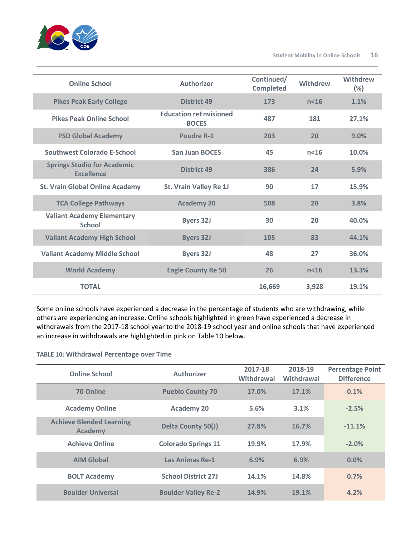

| <b>Online School</b>                                    | <b>Authorizer</b>                             | Continued/<br><b>Completed</b> | Withdrew | Withdrew<br>$(\%)$ |
|---------------------------------------------------------|-----------------------------------------------|--------------------------------|----------|--------------------|
| <b>Pikes Peak Early College</b>                         | <b>District 49</b>                            | 173                            | $n<$ 16  | 1.1%               |
| <b>Pikes Peak Online School</b>                         | <b>Education reEnvisioned</b><br><b>BOCES</b> | 487                            | 181      | 27.1%              |
| <b>PSD Global Academy</b>                               | Poudre R-1                                    | 203                            | 20       | 9.0%               |
| Southwest Colorado E-School                             | <b>San Juan BOCES</b>                         | 45                             | $n<$ 16  | 10.0%              |
| <b>Springs Studio for Academic</b><br><b>Fxcellence</b> | <b>District 49</b>                            | 386                            | 24       | 5.9%               |
| <b>St. Vrain Global Online Academy</b>                  | St. Vrain Valley Re 1J                        | 90                             | 17       | 15.9%              |
| <b>TCA College Pathways</b>                             | <b>Academy 20</b>                             | 508                            | 20       | 3.8%               |
| <b>Valiant Academy Elementary</b><br><b>School</b>      | <b>Byers 32J</b>                              | 30                             | 20       | 40.0%              |
| <b>Valiant Academy High School</b>                      | <b>Byers 32J</b>                              | 105                            | 83       | 44.1%              |
| <b>Valiant Academy Middle School</b>                    | <b>Byers 32J</b>                              | 48                             | 27       | 36.0%              |
| <b>World Academy</b>                                    | <b>Eagle County Re 50</b>                     | 26                             | $n<$ 16  | 13.3%              |
| <b>TOTAL</b>                                            |                                               | 16,669                         | 3,928    | 19.1%              |

Some online schools have experienced a decrease in the percentage of students who are withdrawing, while others are experiencing an increase. Online schools highlighted in green have experienced a decrease in withdrawals from the 2017-18 school year to the 2018-19 school year and online schools that have experienced an increase in withdrawals are highlighted in pink on Table 10 below.

#### **TABLE 10: Withdrawal Percentage over Time**

| <b>Online School</b>                              | Authorizer                 | 2017-18<br>Withdrawal | 2018-19<br>Withdrawal | <b>Percentage Point</b><br><b>Difference</b> |
|---------------------------------------------------|----------------------------|-----------------------|-----------------------|----------------------------------------------|
| 70 Online                                         | <b>Pueblo County 70</b>    | 17.0%                 | 17.1%                 | 0.1%                                         |
| <b>Academy Online</b>                             | <b>Academy 20</b>          | 5.6%                  | 3.1%                  | $-2.5%$                                      |
| <b>Achieve Blended Learning</b><br><b>Academy</b> | <b>Delta County 50(J)</b>  | 27.8%                 | 16.7%                 | $-11.1%$                                     |
| <b>Achieve Online</b>                             | <b>Colorado Springs 11</b> | 19.9%                 | 17.9%                 | $-2.0%$                                      |
| <b>AIM Global</b>                                 | Las Animas Re-1            | 6.9%                  | 6.9%                  | 0.0%                                         |
| <b>BOLT Academy</b>                               | <b>School District 27J</b> | 14.1%                 | 14.8%                 | 0.7%                                         |
| <b>Boulder Universal</b>                          | <b>Boulder Valley Re-2</b> | 14.9%                 | 19.1%                 | 4.2%                                         |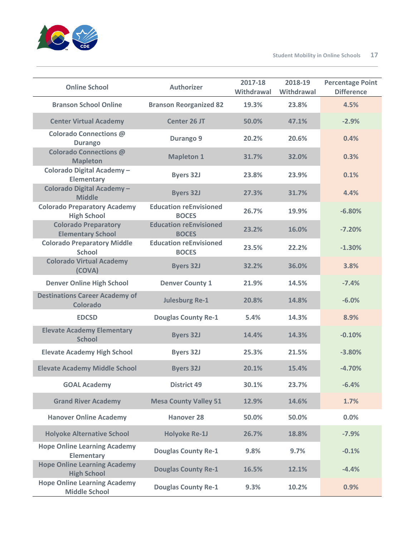

| <b>Online School</b>                                        | <b>Authorizer</b>                             | 2017-18<br>Withdrawal | 2018-19<br>Withdrawal | <b>Percentage Point</b><br><b>Difference</b> |
|-------------------------------------------------------------|-----------------------------------------------|-----------------------|-----------------------|----------------------------------------------|
| <b>Branson School Online</b>                                | <b>Branson Reorganized 82</b>                 | 19.3%                 | 23.8%                 | 4.5%                                         |
| <b>Center Virtual Academy</b>                               | <b>Center 26 JT</b>                           | 50.0%                 | 47.1%                 | $-2.9%$                                      |
| Colorado Connections @<br><b>Durango</b>                    | Durango 9                                     | 20.2%                 | 20.6%                 | 0.4%                                         |
| <b>Colorado Connections @</b><br><b>Mapleton</b>            | <b>Mapleton 1</b>                             | 31.7%                 | 32.0%                 | 0.3%                                         |
| Colorado Digital Academy-<br><b>Elementary</b>              | <b>Byers 32J</b>                              | 23.8%                 | 23.9%                 | 0.1%                                         |
| <b>Colorado Digital Academy-</b><br><b>Middle</b>           | <b>Byers 32J</b>                              | 27.3%                 | 31.7%                 | 4.4%                                         |
| <b>Colorado Preparatory Academy</b><br><b>High School</b>   | <b>Education reEnvisioned</b><br><b>BOCES</b> | 26.7%                 | 19.9%                 | $-6.80%$                                     |
| <b>Colorado Preparatory</b><br><b>Elementary School</b>     | <b>Education reEnvisioned</b><br><b>BOCES</b> | 23.2%                 | 16.0%                 | $-7.20%$                                     |
| <b>Colorado Preparatory Middle</b><br><b>School</b>         | <b>Education reEnvisioned</b><br><b>BOCES</b> | 23.5%                 | 22.2%                 | $-1.30%$                                     |
| <b>Colorado Virtual Academy</b><br>(COVA)                   | <b>Byers 32J</b>                              | 32.2%                 | 36.0%                 | 3.8%                                         |
| <b>Denver Online High School</b>                            | <b>Denver County 1</b>                        | 21.9%                 | 14.5%                 | $-7.4%$                                      |
| <b>Destinations Career Academy of</b><br><b>Colorado</b>    | <b>Julesburg Re-1</b>                         | 20.8%                 | 14.8%                 | $-6.0%$                                      |
| <b>EDCSD</b>                                                | <b>Douglas County Re-1</b>                    | 5.4%                  | 14.3%                 | 8.9%                                         |
| <b>Elevate Academy Elementary</b><br><b>School</b>          | <b>Byers 32J</b>                              | 14.4%                 | 14.3%                 | $-0.10%$                                     |
| <b>Elevate Academy High School</b>                          | <b>Byers 32J</b>                              | 25.3%                 | 21.5%                 | $-3.80%$                                     |
| <b>Elevate Academy Middle School</b>                        | <b>Byers 32J</b>                              | 20.1%                 | 15.4%                 | $-4.70%$                                     |
| <b>GOAL Academy</b>                                         | <b>District 49</b>                            | 30.1%                 | 23.7%                 | $-6.4%$                                      |
| <b>Grand River Academy</b>                                  | <b>Mesa County Valley 51</b>                  | 12.9%                 | 14.6%                 | 1.7%                                         |
| <b>Hanover Online Academy</b>                               | <b>Hanover 28</b>                             | 50.0%                 | 50.0%                 | 0.0%                                         |
| <b>Holyoke Alternative School</b>                           | <b>Holyoke Re-1J</b>                          | 26.7%                 | 18.8%                 | $-7.9%$                                      |
| <b>Hope Online Learning Academy</b><br><b>Elementary</b>    | <b>Douglas County Re-1</b>                    | 9.8%                  | 9.7%                  | $-0.1%$                                      |
| <b>Hope Online Learning Academy</b><br><b>High School</b>   | <b>Douglas County Re-1</b>                    | 16.5%                 | 12.1%                 | $-4.4%$                                      |
| <b>Hope Online Learning Academy</b><br><b>Middle School</b> | <b>Douglas County Re-1</b>                    | 9.3%                  | 10.2%                 | 0.9%                                         |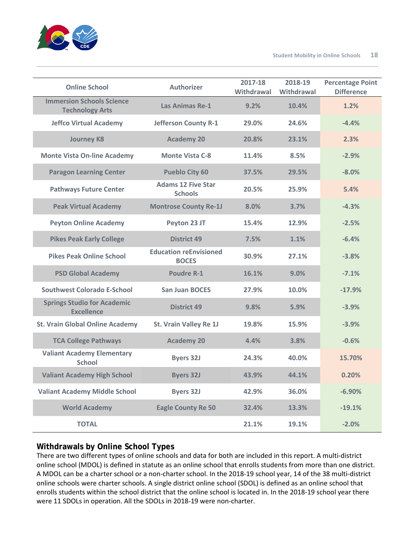

| <b>Online School</b>                                       | <b>Authorizer</b>                             | 2017-18<br>Withdrawal | 2018-19<br>Withdrawal | <b>Percentage Point</b><br><b>Difference</b> |
|------------------------------------------------------------|-----------------------------------------------|-----------------------|-----------------------|----------------------------------------------|
| <b>Immersion Schools Science</b><br><b>Technology Arts</b> | <b>Las Animas Re-1</b>                        | 9.2%                  | 10.4%                 | 1.2%                                         |
| <b>Jeffco Virtual Academy</b>                              | Jefferson County R-1                          | 29.0%                 | 24.6%                 | $-4.4%$                                      |
| <b>Journey K8</b>                                          | <b>Academy 20</b>                             | 20.8%                 | 23.1%                 | 2.3%                                         |
| <b>Monte Vista On-line Academy</b>                         | <b>Monte Vista C-8</b>                        | 11.4%                 | 8.5%                  | $-2.9%$                                      |
| <b>Paragon Learning Center</b>                             | <b>Pueblo City 60</b>                         | 37.5%                 | 29.5%                 | $-8.0%$                                      |
| <b>Pathways Future Center</b>                              | <b>Adams 12 Five Star</b><br><b>Schools</b>   | 20.5%                 | 25.9%                 | 5.4%                                         |
| <b>Peak Virtual Academy</b>                                | <b>Montrose County Re-1J</b>                  | 8.0%                  | 3.7%                  | $-4.3%$                                      |
| <b>Peyton Online Academy</b>                               | Peyton 23 JT                                  | 15.4%                 | 12.9%                 | $-2.5%$                                      |
| <b>Pikes Peak Early College</b>                            | <b>District 49</b>                            | 7.5%                  | 1.1%                  | $-6.4%$                                      |
| <b>Pikes Peak Online School</b>                            | <b>Education reEnvisioned</b><br><b>BOCES</b> | 30.9%                 | 27.1%                 | $-3.8%$                                      |
| <b>PSD Global Academy</b>                                  | <b>Poudre R-1</b>                             | 16.1%                 | 9.0%                  | $-7.1%$                                      |
| <b>Southwest Colorado E-School</b>                         | <b>San Juan BOCES</b>                         | 27.9%                 | 10.0%                 | $-17.9%$                                     |
| <b>Springs Studio for Academic</b><br><b>Excellence</b>    | <b>District 49</b>                            | 9.8%                  | 5.9%                  | $-3.9%$                                      |
| <b>St. Vrain Global Online Academy</b>                     | St. Vrain Valley Re 1J                        | 19.8%                 | 15.9%                 | $-3.9%$                                      |
| <b>TCA College Pathways</b>                                | <b>Academy 20</b>                             | 4.4%                  | 3.8%                  | $-0.6%$                                      |
| <b>Valiant Academy Elementary</b><br><b>School</b>         | <b>Byers 32J</b>                              | 24.3%                 | 40.0%                 | 15.70%                                       |
| <b>Valiant Academy High School</b>                         | <b>Byers 32J</b>                              | 43.9%                 | 44.1%                 | 0.20%                                        |
| <b>Valiant Academy Middle School</b>                       | <b>Byers 32J</b>                              | 42.9%                 | 36.0%                 | $-6.90%$                                     |
| <b>World Academy</b>                                       | <b>Eagle County Re 50</b>                     | 32.4%                 | 13.3%                 | $-19.1%$                                     |
| <b>TOTAL</b>                                               |                                               | 21.1%                 | 19.1%                 | $-2.0%$                                      |

## **Withdrawals by Online School Types**

There are two different types of online schools and data for both are included in this report. A multi-district online school (MDOL) is defined in statute as an online school that enrolls students from more than one district. A MDOL can be a charter school or a non-charter school. In the 2018-19 school year, 14 of the 38 multi-district online schools were charter schools. A single district online school (SDOL) is defined as an online school that enrolls students within the school district that the online school is located in. In the 2018-19 school year there were 11 SDOLs in operation. All the SDOLs in 2018-19 were non-charter.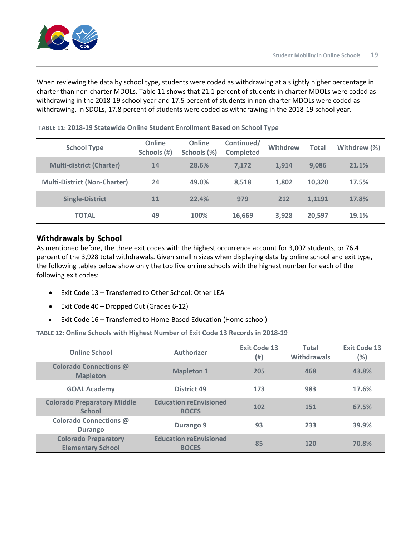When reviewing the data by school type, students were coded as withdrawing at a slightly higher percentage in charter than non-charter MDOLs. Table 11 shows that 21.1 percent of students in charter MDOLs were coded as withdrawing in the 2018-19 school year and 17.5 percent of students in non-charter MDOLs were coded as withdrawing. In SDOLs, 17.8 percent of students were coded as withdrawing in the 2018-19 school year.

| <b>School Type</b>                  | Online<br>Schools (#) | <b>Online</b><br>Schools (%) | Continued/<br><b>Completed</b> | <b>Withdrew</b> | <b>Total</b> | Withdrew (%) |
|-------------------------------------|-----------------------|------------------------------|--------------------------------|-----------------|--------------|--------------|
| <b>Multi-district (Charter)</b>     | 14                    | 28.6%                        | 7.172                          | 1.914           | 9.086        | 21.1%        |
| <b>Multi-District (Non-Charter)</b> | 24                    | 49.0%                        | 8.518                          | 1.802           | 10,320       | 17.5%        |
| <b>Single-District</b>              | 11                    | 22.4%                        | 979                            | 212             | 1.1191       | 17.8%        |
| <b>TOTAL</b>                        | 49                    | 100%                         | 16,669                         | 3,928           | 20,597       | 19.1%        |

**TABLE 11: 2018-19 Statewide Online Student Enrollment Based on School Type**

## **Withdrawals by School**

As mentioned before, the three exit codes with the highest occurrence account for 3,002 students, or 76.4 percent of the 3,928 total withdrawals. Given small n sizes when displaying data by online school and exit type, the following tables below show only the top five online schools with the highest number for each of the following exit codes:

- Exit Code 13 Transferred to Other School: Other LEA
- Exit Code 40 Dropped Out (Grades 6-12)
- Exit Code 16 Transferred to Home-Based Education (Home school)

**TABLE 12: Online Schools with Highest Number of Exit Code 13 Records in 2018-19** 

| <b>Online School</b>                                    | <b>Authorizer</b>                             | <b>Exit Code 13</b><br>(#) | <b>Total</b><br><b>Withdrawals</b> | <b>Exit Code 13</b><br>(%) |
|---------------------------------------------------------|-----------------------------------------------|----------------------------|------------------------------------|----------------------------|
| <b>Colorado Connections @</b><br><b>Mapleton</b>        | <b>Mapleton 1</b>                             | 205                        | 468                                | 43.8%                      |
| <b>GOAL Academy</b>                                     | District 49                                   | 173                        | 983                                | 17.6%                      |
| <b>Colorado Preparatory Middle</b><br><b>School</b>     | <b>Education reEnvisioned</b><br><b>BOCES</b> | 102                        | 151                                | 67.5%                      |
| Colorado Connections @<br><b>Durango</b>                | Durango 9                                     | 93                         | 233                                | 39.9%                      |
| <b>Colorado Preparatory</b><br><b>Elementary School</b> | <b>Education reEnvisioned</b><br><b>BOCES</b> | 85                         | 120                                | 70.8%                      |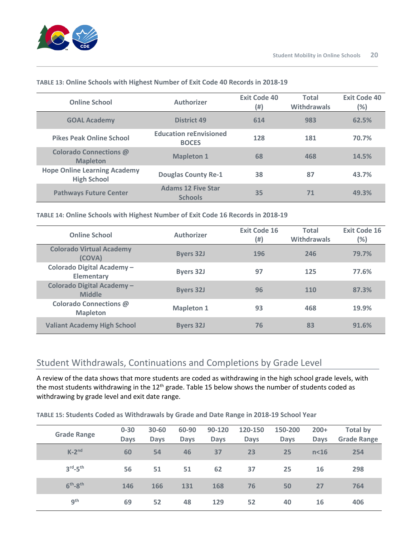

| <b>Online School</b>                                      | <b>Authorizer</b>                             | <b>Exit Code 40</b><br>(#) | Total<br><b>Withdrawals</b> | <b>Exit Code 40</b><br>(%) |
|-----------------------------------------------------------|-----------------------------------------------|----------------------------|-----------------------------|----------------------------|
| <b>GOAL Academy</b>                                       | <b>District 49</b>                            | 614                        | 983                         | 62.5%                      |
| <b>Pikes Peak Online School</b>                           | <b>Education reEnvisioned</b><br><b>BOCES</b> | 128                        | 181                         | 70.7%                      |
| <b>Colorado Connections @</b><br><b>Mapleton</b>          | <b>Mapleton 1</b>                             | 68                         | 468                         | 14.5%                      |
| <b>Hope Online Learning Academy</b><br><b>High School</b> | <b>Douglas County Re-1</b>                    | 38                         | 87                          | 43.7%                      |
| <b>Pathways Future Center</b>                             | <b>Adams 12 Five Star</b><br><b>Schools</b>   | 35                         | 71                          | 49.3%                      |

#### **TABLE 13: Online Schools with Highest Number of Exit Code 40 Records in 2018-19**

#### **TABLE 14: Online Schools with Highest Number of Exit Code 16 Records in 2018-19**

| <b>Online School</b>                           | <b>Authorizer</b> | <b>Exit Code 16</b><br>(#) | <b>Total</b><br><b>Withdrawals</b> | <b>Exit Code 16</b><br>(%) |
|------------------------------------------------|-------------------|----------------------------|------------------------------------|----------------------------|
| <b>Colorado Virtual Academy</b><br>(COVA)      | <b>Byers 32J</b>  | 196                        | 246                                | 79.7%                      |
| Colorado Digital Academy-<br><b>Elementary</b> | <b>Byers 32J</b>  | 97                         | 125                                | 77.6%                      |
| Colorado Digital Academy-<br><b>Middle</b>     | <b>Byers 32J</b>  | 96                         | 110                                | 87.3%                      |
| Colorado Connections @<br><b>Mapleton</b>      | <b>Mapleton 1</b> | 93                         | 468                                | 19.9%                      |
| <b>Valiant Academy High School</b>             | <b>Byers 32J</b>  | 76                         | 83                                 | 91.6%                      |

## Student Withdrawals, Continuations and Completions by Grade Level

A review of the data shows that more students are coded as withdrawing in the high school grade levels, with the most students withdrawing in the 12<sup>th</sup> grade. Table 15 below shows the number of students coded as withdrawing by grade level and exit date range.

#### **TABLE 15: Students Coded as Withdrawals by Grade and Date Range in 2018-19 School Year**

| <b>Grade Range</b>              | $0 - 30$<br><b>Days</b> | 30-60<br><b>Days</b> | 60-90<br><b>Days</b> | 90-120<br><b>Days</b> | 120-150<br><b>Days</b> | 150-200<br><b>Days</b> | $200+$<br><b>Days</b> | <b>Total by</b><br><b>Grade Range</b> |
|---------------------------------|-------------------------|----------------------|----------------------|-----------------------|------------------------|------------------------|-----------------------|---------------------------------------|
| $K-2^{nd}$                      | 60                      | 54                   | 46                   | 37                    | 23                     | 25                     | n <sub>16</sub>       | 254                                   |
| $3^{\text{rd}} - 5^{\text{th}}$ | 56                      | 51                   | 51                   | 62                    | 37                     | 25                     | 16                    | 298                                   |
| $6th-8th$                       | 146                     | 166                  | 131                  | 168                   | 76                     | 50                     | 27                    | 764                                   |
| 9 <sup>th</sup>                 | 69                      | 52                   | 48                   | 129                   | 52                     | 40                     | 16                    | 406                                   |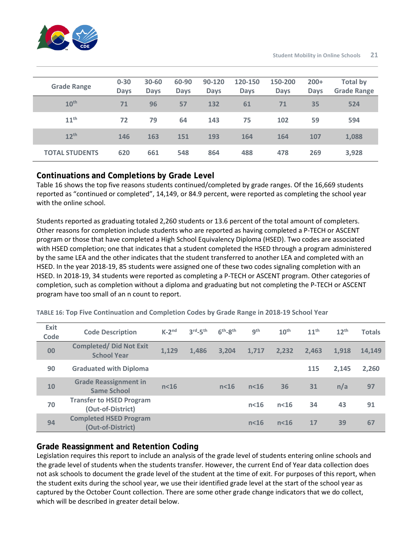

| <b>Grade Range</b>    | $0 - 30$<br><b>Days</b> | 30-60<br><b>Days</b> | 60-90<br><b>Days</b> | 90-120<br><b>Days</b> | 120-150<br><b>Days</b> | 150-200<br><b>Days</b> | $200+$<br><b>Days</b> | <b>Total by</b><br><b>Grade Range</b> |
|-----------------------|-------------------------|----------------------|----------------------|-----------------------|------------------------|------------------------|-----------------------|---------------------------------------|
| 10 <sup>th</sup>      | 71                      | 96                   | 57                   | 132                   | 61                     | 71                     | 35                    | 524                                   |
| 11 <sup>th</sup>      | 72                      | 79                   | 64                   | 143                   | 75                     | 102                    | 59                    | 594                                   |
| $12^{th}$             | 146                     | 163                  | 151                  | 193                   | 164                    | 164                    | 107                   | 1,088                                 |
| <b>TOTAL STUDENTS</b> | 620                     | 661                  | 548                  | 864                   | 488                    | 478                    | 269                   | 3,928                                 |

## **Continuations and Completions by Grade Level**

Table 16 shows the top five reasons students continued/completed by grade ranges. Of the 16,669 students reported as "continued or completed", 14,149, or 84.9 percent, were reported as completing the school year with the online school.

Students reported as graduating totaled 2,260 students or 13.6 percent of the total amount of completers. Other reasons for completion include students who are reported as having completed a P-TECH or ASCENT program or those that have completed a High School Equivalency Diploma (HSED). Two codes are associated with HSED completion; one that indicates that a student completed the HSED through a program administered by the same LEA and the other indicates that the student transferred to another LEA and completed with an HSED. In the year 2018-19, 85 students were assigned one of these two codes signaling completion with an HSED. In 2018-19, 34 students were reported as completing a P-TECH or ASCENT program. Other categories of completion, such as completion without a diploma and graduating but not completing the P-TECH or ASCENT program have too small of an n count to report.

| Exit<br>Code | <b>Code Description</b>                              | $K-2^{nd}$      | $3rd-5th$ | $6th-8th$       | 9 <sup>th</sup> | 10 <sup>th</sup> | $11^{\text{th}}$ | $12^{th}$ | <b>Totals</b> |
|--------------|------------------------------------------------------|-----------------|-----------|-----------------|-----------------|------------------|------------------|-----------|---------------|
| 00           | <b>Completed/ Did Not Exit</b><br><b>School Year</b> | 1,129           | 1,486     | 3,204           | 1,717           | 2,232            | 2,463            | 1,918     | 14,149        |
| 90           | <b>Graduated with Diploma</b>                        |                 |           |                 |                 |                  | 115              | 2.145     | 2,260         |
| <b>10</b>    | <b>Grade Reassignment in</b><br><b>Same School</b>   | n <sub>16</sub> |           | n <sub>16</sub> | n <sub>16</sub> | 36               | 31               | n/a       | 97            |
| 70           | <b>Transfer to HSED Program</b><br>(Out-of-District) |                 |           |                 | $n<$ 16         | $n<$ 16          | 34               | 43        | 91            |
| 94           | <b>Completed HSED Program</b><br>(Out-of-District)   |                 |           |                 | $n<$ 16         | $n<$ 16          | 17               | 39        | 67            |

**TABLE 16: Top Five Continuation and Completion Codes by Grade Range in 2018-19 School Year**

## **Grade Reassignment and Retention Coding**

Legislation requires this report to include an analysis of the grade level of students entering online schools and the grade level of students when the students transfer. However, the current End of Year data collection does not ask schools to document the grade level of the student at the time of exit. For purposes of this report, when the student exits during the school year, we use their identified grade level at the start of the school year as captured by the October Count collection. There are some other grade change indicators that we do collect, which will be described in greater detail below.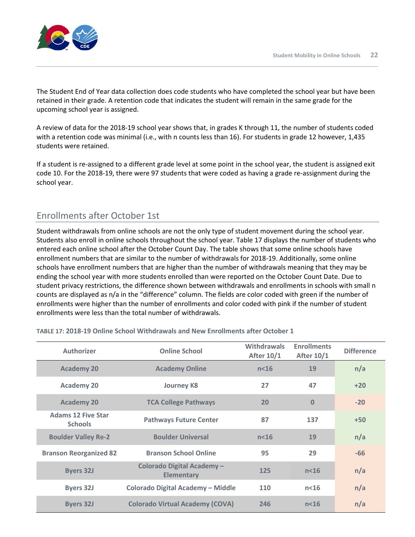

The Student End of Year data collection does code students who have completed the school year but have been retained in their grade. A retention code that indicates the student will remain in the same grade for the upcoming school year is assigned.

A review of data for the 2018-19 school year shows that, in grades K through 11, the number of students coded with a retention code was minimal (i.e., with n counts less than 16). For students in grade 12 however, 1,435 students were retained.

If a student is re-assigned to a different grade level at some point in the school year, the student is assigned exit code 10. For the 2018-19, there were 97 students that were coded as having a grade re-assignment during the school year.

## Enrollments after October 1st

Student withdrawals from online schools are not the only type of student movement during the school year. Students also enroll in online schools throughout the school year. Table 17 displays the number of students who entered each online school after the October Count Day. The table shows that some online schools have enrollment numbers that are similar to the number of withdrawals for 2018-19. Additionally, some online schools have enrollment numbers that are higher than the number of withdrawals meaning that they may be ending the school year with more students enrolled than were reported on the October Count Date. Due to student privacy restrictions, the difference shown between withdrawals and enrollments in schools with small n counts are displayed as n/a in the "difference" column. The fields are color coded with green if the number of enrollments were higher than the number of enrollments and color coded with pink if the number of student enrollments were less than the total number of withdrawals.

| <b>Authorizer</b>                           | <b>Online School</b>                           | <b>Withdrawals</b><br><b>After 10/1</b> | <b>Enrollments</b><br><b>After 10/1</b> | <b>Difference</b> |
|---------------------------------------------|------------------------------------------------|-----------------------------------------|-----------------------------------------|-------------------|
| <b>Academy 20</b>                           | <b>Academy Online</b>                          | n <sub>16</sub>                         | 19                                      | n/a               |
| <b>Academy 20</b>                           | <b>Journey K8</b>                              | 27                                      | 47                                      | $+20$             |
| <b>Academy 20</b>                           | <b>TCA College Pathways</b>                    | 20                                      | $\Omega$                                | $-20$             |
| <b>Adams 12 Five Star</b><br><b>Schools</b> | <b>Pathways Future Center</b>                  | 87                                      | 137                                     | $+50$             |
| <b>Boulder Valley Re-2</b>                  | <b>Boulder Universal</b>                       | n <sub>16</sub>                         | 19                                      | n/a               |
| <b>Branson Reorganized 82</b>               | <b>Branson School Online</b>                   | 95                                      | 29                                      | $-66$             |
| <b>Byers 32J</b>                            | Colorado Digital Academy-<br><b>Elementary</b> | 125                                     | n <sub>16</sub>                         | n/a               |
| <b>Byers 32J</b>                            | Colorado Digital Academy - Middle              | 110                                     | n <sub>16</sub>                         | n/a               |
| <b>Byers 32J</b>                            | <b>Colorado Virtual Academy (COVA)</b>         | 246                                     | $n<$ 16                                 | n/a               |

**TABLE 17: 2018-19 Online School Withdrawals and New Enrollments after October 1**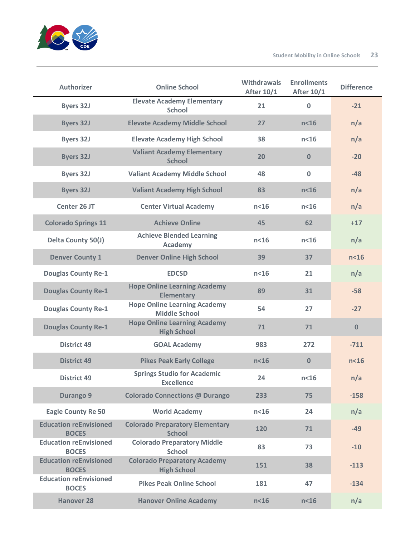

| <b>Authorizer</b>                             | <b>Online School</b>                                        | <b>Withdrawals</b><br><b>After 10/1</b> | <b>Enrollments</b><br><b>After 10/1</b> | <b>Difference</b> |
|-----------------------------------------------|-------------------------------------------------------------|-----------------------------------------|-----------------------------------------|-------------------|
| <b>Byers 32J</b>                              | <b>Elevate Academy Elementary</b><br><b>School</b>          | 21                                      | $\bf{0}$                                | $-21$             |
| <b>Byers 32J</b>                              | <b>Elevate Academy Middle School</b>                        | 27                                      | n <sub>16</sub>                         | n/a               |
| <b>Byers 32J</b>                              | <b>Elevate Academy High School</b>                          | 38                                      | n <sub>16</sub>                         | n/a               |
| <b>Byers 32J</b>                              | <b>Valiant Academy Elementary</b><br><b>School</b>          | 20                                      | $\bf{0}$                                | $-20$             |
| <b>Byers 32J</b>                              | <b>Valiant Academy Middle School</b>                        | 48                                      | $\mathbf 0$                             | $-48$             |
| <b>Byers 32J</b>                              | <b>Valiant Academy High School</b>                          | 83                                      | n <sub>16</sub>                         | n/a               |
| Center 26 JT                                  | <b>Center Virtual Academy</b>                               | n <sub>16</sub>                         | n <sub>16</sub>                         | n/a               |
| <b>Colorado Springs 11</b>                    | <b>Achieve Online</b>                                       | 45                                      | 62                                      | $+17$             |
| Delta County 50(J)                            | <b>Achieve Blended Learning</b><br>Academy                  | n <sub>16</sub>                         | n <sub>16</sub>                         | n/a               |
| <b>Denver County 1</b>                        | <b>Denver Online High School</b>                            | 39                                      | 37                                      | n <sub>16</sub>   |
| <b>Douglas County Re-1</b>                    | <b>EDCSD</b>                                                | n <sub>16</sub>                         | 21                                      | n/a               |
| <b>Douglas County Re-1</b>                    | <b>Hope Online Learning Academy</b><br><b>Elementary</b>    | 89                                      | 31                                      | $-58$             |
| <b>Douglas County Re-1</b>                    | <b>Hope Online Learning Academy</b><br><b>Middle School</b> | 54                                      | 27                                      | $-27$             |
| <b>Douglas County Re-1</b>                    | <b>Hope Online Learning Academy</b><br><b>High School</b>   | 71                                      | 71                                      | 0                 |
| <b>District 49</b>                            | <b>GOAL Academy</b>                                         | 983                                     | 272                                     | $-711$            |
| <b>District 49</b>                            | <b>Pikes Peak Early College</b>                             | n <sub>16</sub>                         | $\mathbf{0}$                            | n <sub>16</sub>   |
| <b>District 49</b>                            | <b>Springs Studio for Academic</b><br><b>Excellence</b>     | 24                                      | n <sub>16</sub>                         | n/a               |
| <b>Durango 9</b>                              | <b>Colorado Connections @ Durango</b>                       | 233                                     | 75                                      | $-158$            |
| <b>Eagle County Re 50</b>                     | <b>World Academy</b>                                        | n <sub>16</sub>                         | 24                                      | n/a               |
| <b>Education reEnvisioned</b><br><b>BOCES</b> | <b>Colorado Preparatory Elementary</b><br><b>School</b>     | 120                                     | 71                                      | $-49$             |
| <b>Education reEnvisioned</b><br><b>BOCES</b> | <b>Colorado Preparatory Middle</b><br><b>School</b>         | 83                                      | 73                                      | $-10$             |
| <b>Education reEnvisioned</b><br><b>BOCES</b> | <b>Colorado Preparatory Academy</b><br><b>High School</b>   | 151                                     | 38                                      | $-113$            |
| <b>Education reEnvisioned</b><br><b>BOCES</b> | <b>Pikes Peak Online School</b>                             | 181                                     | 47                                      | $-134$            |
| <b>Hanover 28</b>                             | <b>Hanover Online Academy</b>                               | n <sub>16</sub>                         | n <sub>16</sub>                         | n/a               |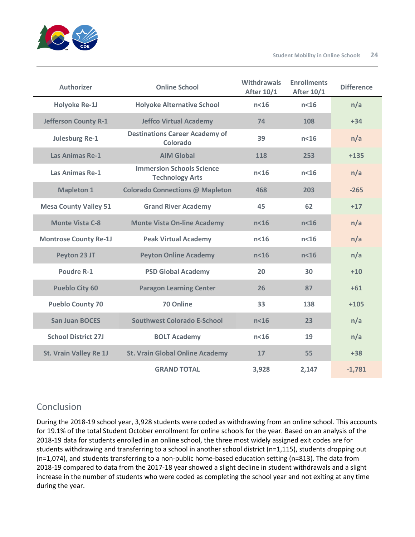

| <b>Authorizer</b>             | <b>Online School</b>                                       | <b>Withdrawals</b><br><b>After 10/1</b> | <b>Enrollments</b><br><b>After 10/1</b> | <b>Difference</b> |
|-------------------------------|------------------------------------------------------------|-----------------------------------------|-----------------------------------------|-------------------|
| <b>Holyoke Re-1J</b>          | <b>Holyoke Alternative School</b>                          | n <sub>16</sub>                         | $n<$ 16                                 | n/a               |
| <b>Jefferson County R-1</b>   | <b>Jeffco Virtual Academy</b>                              | 74                                      | 108                                     | $+34$             |
| <b>Julesburg Re-1</b>         | <b>Destinations Career Academy of</b><br>Colorado          | 39                                      | n <sub>16</sub>                         | n/a               |
| <b>Las Animas Re-1</b>        | <b>AIM Global</b>                                          | 118                                     | 253                                     | $+135$            |
| <b>Las Animas Re-1</b>        | <b>Immersion Schools Science</b><br><b>Technology Arts</b> | $n<$ 16                                 | $n<$ 16                                 | n/a               |
| <b>Mapleton 1</b>             | <b>Colorado Connections @ Mapleton</b>                     | 468                                     | 203                                     | $-265$            |
| <b>Mesa County Valley 51</b>  | <b>Grand River Academy</b>                                 | 45                                      | 62                                      | $+17$             |
| <b>Monte Vista C-8</b>        | <b>Monte Vista On-line Academy</b>                         | n <sub>16</sub>                         | n <sub>16</sub>                         | n/a               |
| <b>Montrose County Re-1J</b>  | <b>Peak Virtual Academy</b>                                | n <sub>16</sub>                         | n <sub>16</sub>                         | n/a               |
| Peyton 23 JT                  | <b>Peyton Online Academy</b>                               | n <sub>16</sub>                         | n <sub>16</sub>                         | n/a               |
| <b>Poudre R-1</b>             | <b>PSD Global Academy</b>                                  | 20                                      | 30                                      | $+10$             |
| <b>Pueblo City 60</b>         | <b>Paragon Learning Center</b>                             | 26                                      | 87                                      | $+61$             |
| <b>Pueblo County 70</b>       | 70 Online                                                  | 33                                      | 138                                     | $+105$            |
| <b>San Juan BOCES</b>         | <b>Southwest Colorado E-School</b>                         | n <sub>16</sub>                         | 23                                      | n/a               |
| <b>School District 27J</b>    | <b>BOLT Academy</b>                                        | n <sub>16</sub>                         | 19                                      | n/a               |
| <b>St. Vrain Valley Re 1J</b> | <b>St. Vrain Global Online Academy</b>                     | 17                                      | 55                                      | $+38$             |
|                               | <b>GRAND TOTAL</b>                                         | 3,928                                   | 2,147                                   | $-1,781$          |

## Conclusion

During the 2018-19 school year, 3,928 students were coded as withdrawing from an online school. This accounts for 19.1% of the total Student October enrollment for online schools for the year. Based on an analysis of the 2018-19 data for students enrolled in an online school, the three most widely assigned exit codes are for students withdrawing and transferring to a school in another school district (n=1,115), students dropping out (n=1,074), and students transferring to a non-public home-based education setting (n=813). The data from 2018-19 compared to data from the 2017-18 year showed a slight decline in student withdrawals and a slight increase in the number of students who were coded as completing the school year and not exiting at any time during the year.